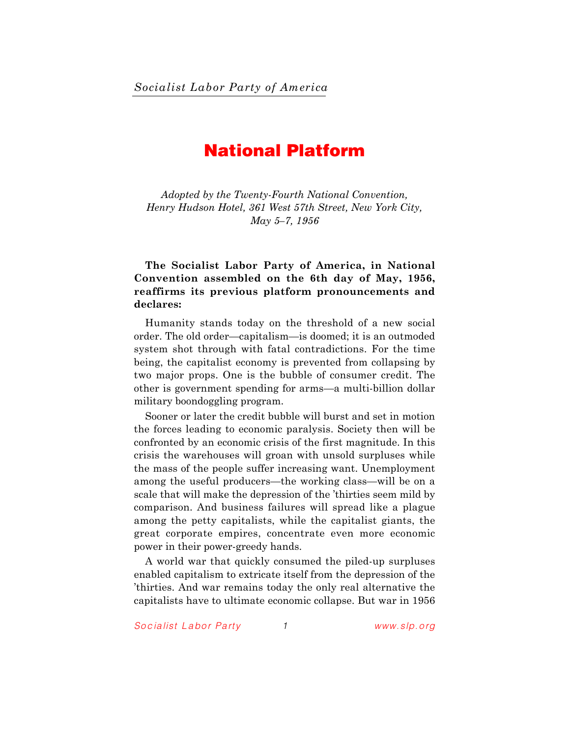# **National Platform**

*Adopted by the Twenty-Fourth National Convention, Henry Hudson Hotel, 361 West 57th Street, New York City, May 5-7, 1956* 

## **The Socialist Labor Party of America, in National Convention assembled on the 6th day of May, 1956, reaffirms its previous platform pronouncements and declares:**

Humanity stands today on the threshold of a new social order. The old order—capitalism—is doomed; it is an outmoded system shot through with fatal contradictions. For the time being, the capitalist economy is prevented from collapsing by two major props. One is the bubble of consumer credit. The other is government spending for arms-a multi-billion dollar military boondoggling program.

Sooner or later the credit bubble will burst and set in motion the forces leading to economic paralysis. Society then will be confronted by an economic crisis of the first magnitude. In this crisis the warehouses will groan with unsold surpluses while the mass of the people suffer increasing want. Unemployment among the useful producers—the working class—will be on a scale that will make the depression of the 'thirties seem mild by comparison. And business failures will spread like a plague among the petty capitalists, while the capitalist giants, the great corporate empires, concentrate even more economic power in their power-greedy hands.

A world war that quickly consumed the piled-up surpluses enabled capitalism to extricate itself from the depression of the íthirties. And war remains today the only real alternative the capitalists have to ultimate economic collapse. But war in 1956

*Socialist Labor Party 1 www.slp.org*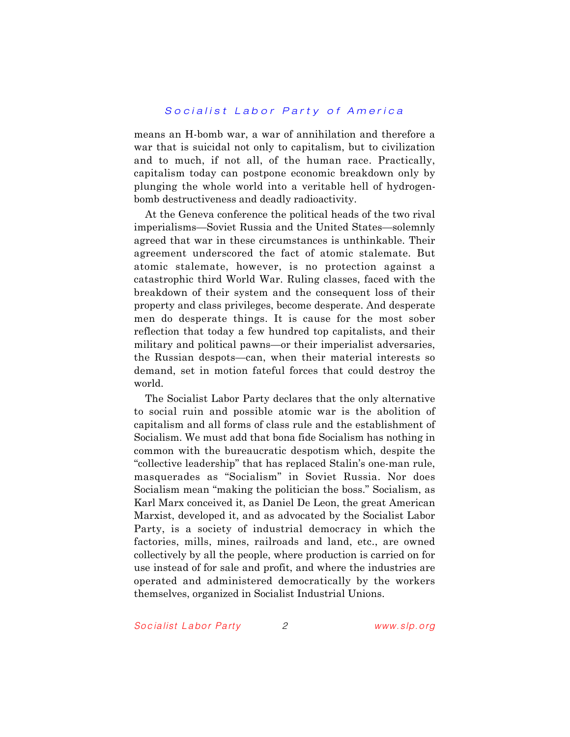### *Socialist Labor Party of America*

means an H-bomb war, a war of annihilation and therefore a war that is suicidal not only to capitalism, but to civilization and to much, if not all, of the human race. Practically, capitalism today can postpone economic breakdown only by plunging the whole world into a veritable hell of hydrogenbomb destructiveness and deadly radioactivity.

At the Geneva conference the political heads of the two rival imperialisms—Soviet Russia and the United States—solemnly agreed that war in these circumstances is unthinkable. Their agreement underscored the fact of atomic stalemate. But atomic stalemate, however, is no protection against a catastrophic third World War. Ruling classes, faced with the breakdown of their system and the consequent loss of their property and class privileges, become desperate. And desperate men do desperate things. It is cause for the most sober reflection that today a few hundred top capitalists, and their military and political pawns—or their imperialist adversaries, the Russian despots—can, when their material interests so demand, set in motion fateful forces that could destroy the world.

The Socialist Labor Party declares that the only alternative to social ruin and possible atomic war is the abolition of capitalism and all forms of class rule and the establishment of Socialism. We must add that bona fide Socialism has nothing in common with the bureaucratic despotism which, despite the "collective leadership" that has replaced Stalin's one-man rule, masquerades as "Socialism" in Soviet Russia. Nor does Socialism mean "making the politician the boss." Socialism, as Karl Marx conceived it, as Daniel De Leon, the great American Marxist, developed it, and as advocated by the Socialist Labor Party, is a society of industrial democracy in which the factories, mills, mines, railroads and land, etc., are owned collectively by all the people, where production is carried on for use instead of for sale and profit, and where the industries are operated and administered democratically by the workers themselves, organized in Socialist Industrial Unions.

*Socialist Labor Party 2 www.slp.org*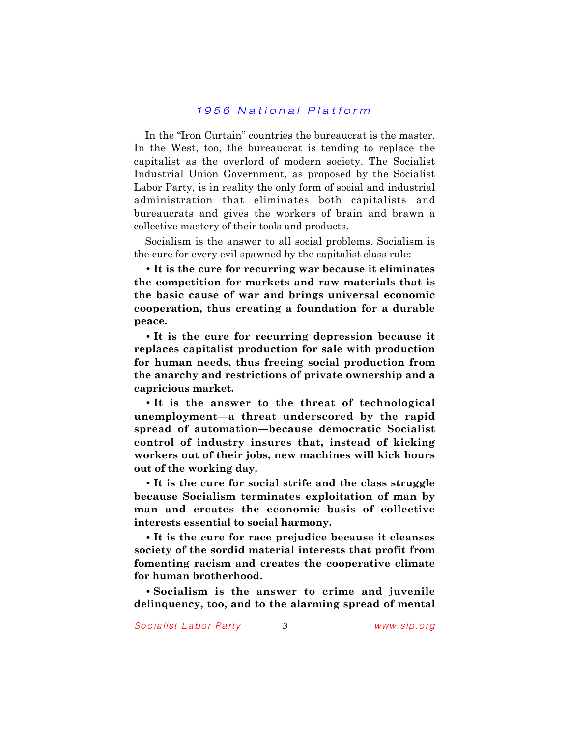### *1956 National Platform*

In the "Iron Curtain" countries the bureaucrat is the master. In the West, too, the bureaucrat is tending to replace the capitalist as the overlord of modern society. The Socialist Industrial Union Government, as proposed by the Socialist Labor Party, is in reality the only form of social and industrial administration that eliminates both capitalists and bureaucrats and gives the workers of brain and brawn a collective mastery of their tools and products.

Socialism is the answer to all social problems. Socialism is the cure for every evil spawned by the capitalist class rule:

**ï It is the cure for recurring war because it eliminates the competition for markets and raw materials that is the basic cause of war and brings universal economic cooperation, thus creating a foundation for a durable peace.**

**ï It is the cure for recurring depression because it replaces capitalist production for sale with production for human needs, thus freeing social production from the anarchy and restrictions of private ownership and a capricious market.**

**ï It is the answer to the threat of technological** unemployment-a threat underscored by the rapid spread of automation-because democratic Socialist **control of industry insures that, instead of kicking workers out of their jobs, new machines will kick hours out of the working day.**

**ï It is the cure for social strife and the class struggle because Socialism terminates exploitation of man by man and creates the economic basis of collective interests essential to social harmony.**

**ï It is the cure for race prejudice because it cleanses society of the sordid material interests that profit from fomenting racism and creates the cooperative climate for human brotherhood.**

**ï Socialism is the answer to crime and juvenile delinquency, too, and to the alarming spread of mental**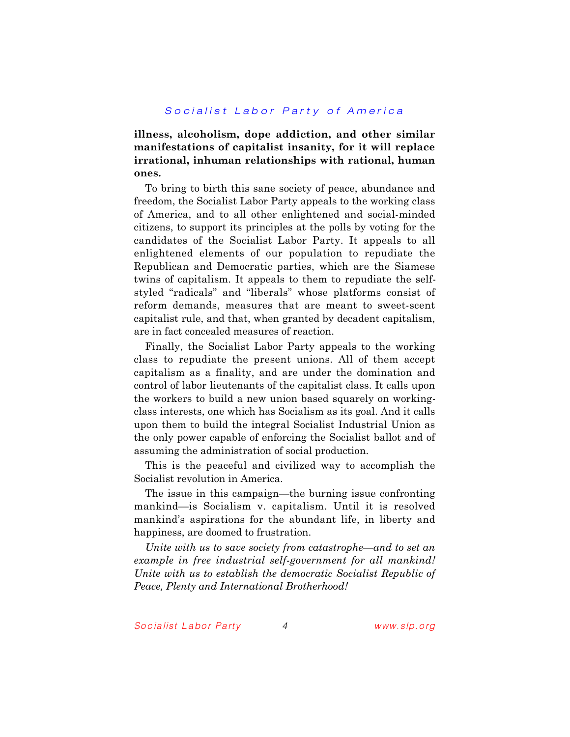#### *Socialist Labor Party of America*

**illness, alcoholism, dope addiction, and other similar manifestations of capitalist insanity, for it will replace irrational, inhuman relationships with rational, human ones.**

To bring to birth this sane society of peace, abundance and freedom, the Socialist Labor Party appeals to the working class of America, and to all other enlightened and social-minded citizens, to support its principles at the polls by voting for the candidates of the Socialist Labor Party. It appeals to all enlightened elements of our population to repudiate the Republican and Democratic parties, which are the Siamese twins of capitalism. It appeals to them to repudiate the selfstyled "radicals" and "liberals" whose platforms consist of reform demands, measures that are meant to sweet-scent capitalist rule, and that, when granted by decadent capitalism, are in fact concealed measures of reaction.

Finally, the Socialist Labor Party appeals to the working class to repudiate the present unions. All of them accept capitalism as a finality, and are under the domination and control of labor lieutenants of the capitalist class. It calls upon the workers to build a new union based squarely on workingclass interests, one which has Socialism as its goal. And it calls upon them to build the integral Socialist Industrial Union as the only power capable of enforcing the Socialist ballot and of assuming the administration of social production.

This is the peaceful and civilized way to accomplish the Socialist revolution in America.

The issue in this campaign—the burning issue confronting mankind-is Socialism v. capitalism. Until it is resolved mankind's aspirations for the abundant life, in liberty and happiness, are doomed to frustration.

*Unite with us to save society from catastrophe—and to set an example in free industrial self-government for all mankind! Unite with us to establish the democratic Socialist Republic of Peace, Plenty and International Brotherhood!*

*Socialist Labor Party 4 www.slp.org*